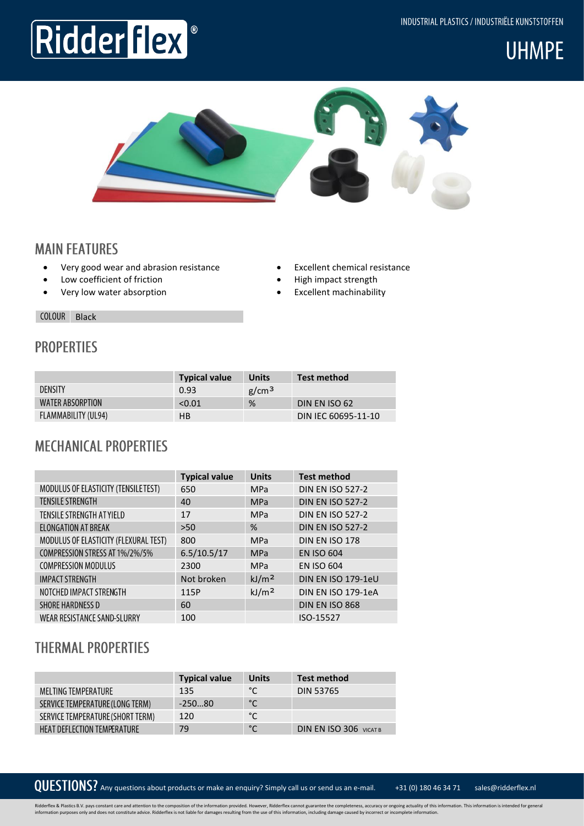INDUSTRIAL PLASTICS / INDUSTRIËLE KUNSTSTOFFEN

# **UHMPE**



## **MAIN FEATURES**

- Very good wear and abrasion resistance
- Low coefficient of friction

Ridder Flex

• Very low water absorption

- Excellent chemical resistance
- High impact strength
- Excellent machinability

COLOUR Black

#### **PROPERTIES**

|                     | <b>Typical value</b> | Units             | Test method         |
|---------------------|----------------------|-------------------|---------------------|
| <b>DENSITY</b>      | 0.93                 | g/cm <sup>3</sup> |                     |
| WATER ABSORPTION    | < 0.01               | %                 | DIN EN ISO 62       |
| FLAMMABILITY (UL94) | <b>HB</b>            |                   | DIN IEC 60695-11-10 |

### **MECHANICAL PROPERTIES**

|                                       | <b>Typical value</b> | <b>Units</b>      | <b>Test method</b>      |
|---------------------------------------|----------------------|-------------------|-------------------------|
| MODULUS OF ELASTICITY (TENSILE TEST)  | 650                  | <b>MPa</b>        | <b>DIN EN ISO 527-2</b> |
| <b>TENSILE STRENGTH</b>               | 40                   | <b>MPa</b>        | <b>DIN EN ISO 527-2</b> |
| TENSILE STRENGTH AT YIELD             | 17                   | <b>MPa</b>        | <b>DIN EN ISO 527-2</b> |
| ELONGATION AT BREAK                   | >50                  | %                 | <b>DIN EN ISO 527-2</b> |
| MODULUS OF ELASTICITY (FLEXURAL TEST) | 800                  | <b>MPa</b>        | DIN EN ISO 178          |
| COMPRESSION STRESS AT 1%/2%/5%        | 6.5/10.5/17          | <b>MPa</b>        | <b>EN ISO 604</b>       |
| <b>COMPRESSION MODULUS</b>            | 2300                 | <b>MPa</b>        | <b>EN ISO 604</b>       |
| <b>IMPACT STRENGTH</b>                | Not broken           | kJ/m <sup>2</sup> | DIN EN ISO 179-1eU      |
| NOTCHED IMPACT STRENGTH               | 115P                 | kJ/m <sup>2</sup> | DIN EN ISO 179-1eA      |
| <b>SHORE HARDNESS D</b>               | 60                   |                   | DIN EN ISO 868          |
| WEAR RESISTANCE SAND-SLURRY           | 100                  |                   | ISO-15527               |

### **THERMAL PROPERTIES**

|                                    | <b>Typical value</b> | <b>Units</b> | <b>Test method</b>            |
|------------------------------------|----------------------|--------------|-------------------------------|
| MELTING TEMPERATURE                | 135                  | °C           | <b>DIN 53765</b>              |
| SERVICE TEMPERATURE (LONG TERM)    | $-25080$             | $^{\circ}$ C |                               |
| SERVICE TEMPERATURE (SHORT TERM)   | 120                  | °C           |                               |
| <b>HEAT DEFLECTION TEMPERATURE</b> | 79                   | $^{\circ}$ C | <b>DIN EN ISO 306 VICAT B</b> |

QUESTIONS? Any questions about products or make an enquiry? Simply call us or send us an e-mail. +31 (0) 180 46 34 71 sales@ridderflex.nl

Ridderflex & Plastics B.V. pays constant care and attention to the composition of the information provided. However, Ridderflex cannot guarantee the completeness, accuracy or ongoing actuality of this information. This inf